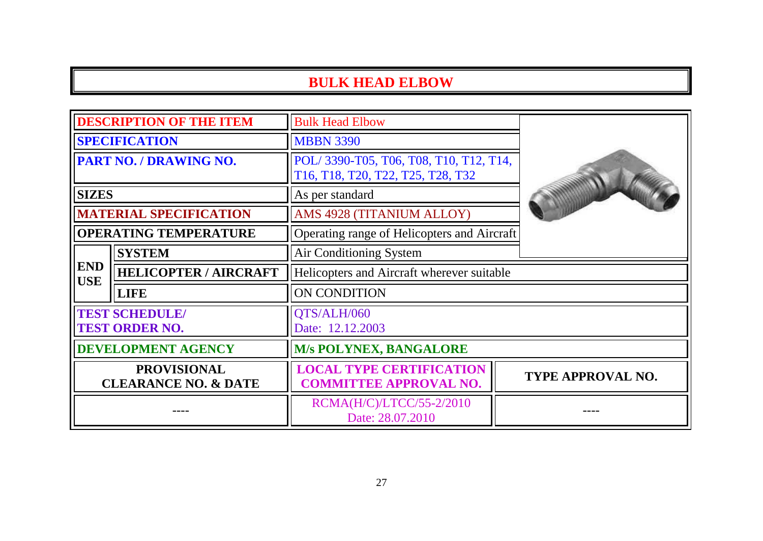## **BULK HEAD ELBOW**

| <b>DESCRIPTION OF THE ITEM</b>                        |                              | <b>Bulk Head Elbow</b>                                                      |  |                   |
|-------------------------------------------------------|------------------------------|-----------------------------------------------------------------------------|--|-------------------|
| <b>SPECIFICATION</b>                                  |                              | <b>MBBN 3390</b>                                                            |  |                   |
| <b>PART NO. / DRAWING NO.</b>                         |                              | POL/3390-T05, T06, T08, T10, T12, T14,<br>T16, T18, T20, T22, T25, T28, T32 |  |                   |
| <b>SIZES</b>                                          |                              | As per standard                                                             |  |                   |
| <b>MATERIAL SPECIFICATION</b>                         |                              | AMS 4928 (TITANIUM ALLOY)<br>Operating range of Helicopters and Aircraft    |  |                   |
| <b>OPERATING TEMPERATURE</b>                          |                              |                                                                             |  |                   |
| <b>END</b><br><b>USE</b>                              | <b>SYSTEM</b>                | Air Conditioning System                                                     |  |                   |
|                                                       | <b>HELICOPTER / AIRCRAFT</b> | Helicopters and Aircraft wherever suitable                                  |  |                   |
|                                                       | <b>LIFE</b>                  | ON CONDITION                                                                |  |                   |
| <b>TEST SCHEDULE/</b><br><b>TEST ORDER NO.</b>        |                              | QTS/ALH/060<br>Date: 12.12.2003                                             |  |                   |
| <b>DEVELOPMENT AGENCY</b>                             |                              | <b>M/s POLYNEX, BANGALORE</b>                                               |  |                   |
| <b>PROVISIONAL</b><br><b>CLEARANCE NO. &amp; DATE</b> |                              | <b>LOCAL TYPE CERTIFICATION</b><br><b>COMMITTEE APPROVAL NO.</b>            |  | TYPE APPROVAL NO. |
|                                                       |                              | RCMA(H/C)/LTCC/55-2/2010<br>Date: 28.07.2010                                |  |                   |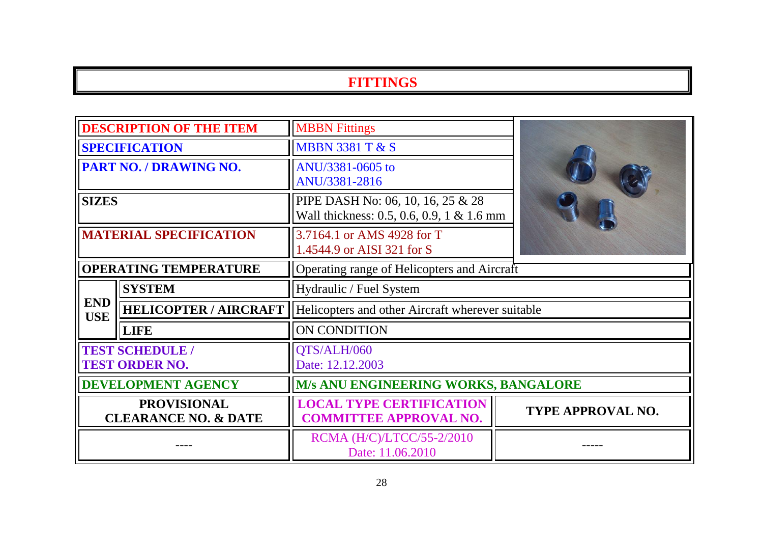## **FITTINGS**

| <b>DESCRIPTION OF THE ITEM</b>                        |                              | <b>MBBN</b> Fittings                                                           |                          |
|-------------------------------------------------------|------------------------------|--------------------------------------------------------------------------------|--------------------------|
| <b>SPECIFICATION</b>                                  |                              | <b>MBBN 3381 T &amp; S</b>                                                     |                          |
| <b>PART NO. / DRAWING NO.</b>                         |                              | ANU/3381-0605 to<br>ANU/3381-2816                                              |                          |
| <b>SIZES</b>                                          |                              | PIPE DASH No: 06, 10, 16, 25 & 28<br>Wall thickness: 0.5, 0.6, 0.9, 1 & 1.6 mm |                          |
| <b>MATERIAL SPECIFICATION</b>                         |                              | 3.7164.1 or AMS 4928 for T<br>1.4544.9 or AISI 321 for S                       |                          |
| <b>OPERATING TEMPERATURE</b>                          |                              | Operating range of Helicopters and Aircraft                                    |                          |
| <b>END</b><br><b>USE</b>                              | <b>SYSTEM</b>                | Hydraulic / Fuel System                                                        |                          |
|                                                       | <b>HELICOPTER / AIRCRAFT</b> | Helicopters and other Aircraft wherever suitable                               |                          |
|                                                       | <b>LIFE</b>                  | ON CONDITION                                                                   |                          |
| <b>TEST SCHEDULE /</b><br><b>TEST ORDER NO.</b>       |                              | QTS/ALH/060<br>Date: 12.12.2003                                                |                          |
| <b>DEVELOPMENT AGENCY</b>                             |                              | <b>M/s ANU ENGINEERING WORKS, BANGALORE</b>                                    |                          |
| <b>PROVISIONAL</b><br><b>CLEARANCE NO. &amp; DATE</b> |                              | <b>LOCAL TYPE CERTIFICATION</b><br><b>COMMITTEE APPROVAL NO.</b>               | <b>TYPE APPROVAL NO.</b> |
|                                                       |                              | RCMA (H/C)/LTCC/55-2/2010<br>Date: 11.06.2010                                  |                          |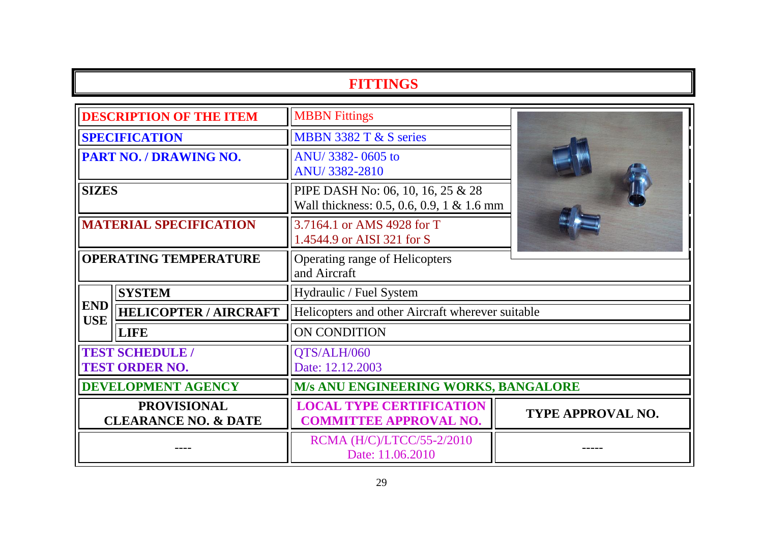## **FITTINGS**

| <b>DESCRIPTION OF THE ITEM</b>                        |                              | <b>MBBN</b> Fittings                                                           |                   |  |
|-------------------------------------------------------|------------------------------|--------------------------------------------------------------------------------|-------------------|--|
| <b>SPECIFICATION</b>                                  |                              | MBBN 3382 T & S series                                                         |                   |  |
| <b>PART NO. / DRAWING NO.</b>                         |                              | ANU/3382-0605 to<br>ANU/3382-2810                                              |                   |  |
| <b>SIZES</b>                                          |                              | PIPE DASH No: 06, 10, 16, 25 & 28<br>Wall thickness: 0.5, 0.6, 0.9, 1 & 1.6 mm |                   |  |
| <b>MATERIAL SPECIFICATION</b>                         |                              | 3.7164.1 or AMS 4928 for T<br>1.4544.9 or AISI 321 for S                       |                   |  |
| <b>OPERATING TEMPERATURE</b>                          |                              | <b>Operating range of Helicopters</b><br>and Aircraft                          |                   |  |
|                                                       | <b>SYSTEM</b>                | Hydraulic / Fuel System                                                        |                   |  |
| <b>END</b><br><b>USE</b>                              | <b>HELICOPTER / AIRCRAFT</b> | Helicopters and other Aircraft wherever suitable                               |                   |  |
|                                                       | <b>LIFE</b>                  | ON CONDITION                                                                   |                   |  |
| <b>TEST SCHEDULE /</b><br><b>TEST ORDER NO.</b>       |                              | QTS/ALH/060<br>Date: 12.12.2003                                                |                   |  |
| <b>DEVELOPMENT AGENCY</b>                             |                              | <b>M/s ANU ENGINEERING WORKS, BANGALORE</b>                                    |                   |  |
| <b>PROVISIONAL</b><br><b>CLEARANCE NO. &amp; DATE</b> |                              | <b>LOCAL TYPE CERTIFICATION</b><br><b>COMMITTEE APPROVAL NO.</b>               | TYPE APPROVAL NO. |  |
|                                                       |                              | RCMA (H/C)/LTCC/55-2/2010<br>Date: 11.06.2010                                  |                   |  |